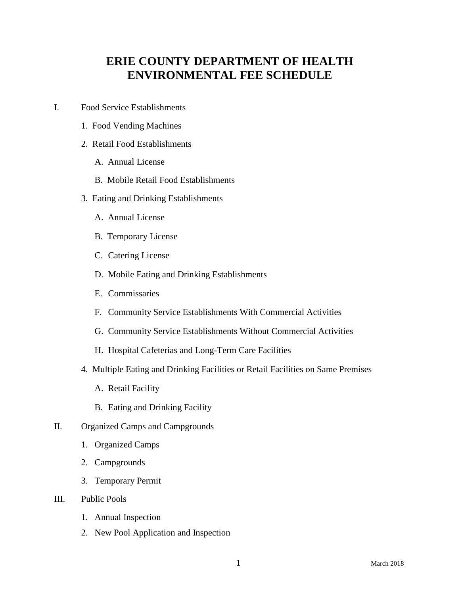# **ERIE COUNTY DEPARTMENT OF HEALTH ENVIRONMENTAL FEE SCHEDULE**

- I. Food Service Establishments
	- 1. Food Vending Machines
	- 2. Retail Food Establishments
		- A. Annual License
		- B. Mobile Retail Food Establishments
	- 3. Eating and Drinking Establishments
		- A. Annual License
		- B. Temporary License
		- C. Catering License
		- D. Mobile Eating and Drinking Establishments
		- E. Commissaries
		- F. Community Service Establishments With Commercial Activities
		- G. Community Service Establishments Without Commercial Activities
		- H. Hospital Cafeterias and Long-Term Care Facilities
	- 4. Multiple Eating and Drinking Facilities or Retail Facilities on Same Premises
		- A. Retail Facility
		- B. Eating and Drinking Facility
- II. Organized Camps and Campgrounds
	- 1. Organized Camps
	- 2. Campgrounds
	- 3. Temporary Permit
- III. Public Pools
	- 1. Annual Inspection
	- 2. New Pool Application and Inspection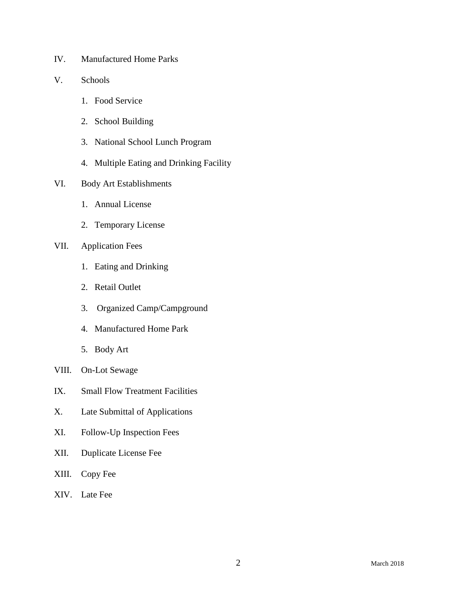- IV. Manufactured Home Parks
- V. Schools
	- 1. Food Service
	- 2. School Building
	- 3. National School Lunch Program
	- 4. Multiple Eating and Drinking Facility
- VI. Body Art Establishments
	- 1. Annual License
	- 2. Temporary License

## VII. Application Fees

- 1. Eating and Drinking
- 2. Retail Outlet
- 3. Organized Camp/Campground
- 4. Manufactured Home Park
- 5. Body Art
- VIII. On-Lot Sewage
- IX. Small Flow Treatment Facilities
- X. Late Submittal of Applications
- XI. Follow-Up Inspection Fees
- XII. Duplicate License Fee
- XIII. Copy Fee
- XIV. Late Fee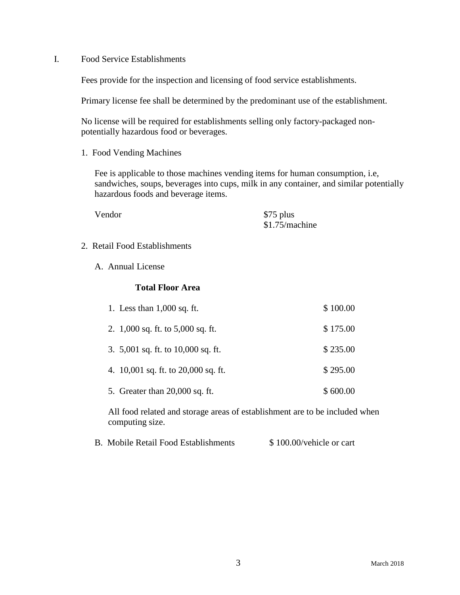I. Food Service Establishments

Fees provide for the inspection and licensing of food service establishments.

Primary license fee shall be determined by the predominant use of the establishment.

No license will be required for establishments selling only factory-packaged nonpotentially hazardous food or beverages.

1. Food Vending Machines

Fee is applicable to those machines vending items for human consumption, i.e, sandwiches, soups, beverages into cups, milk in any container, and similar potentially hazardous foods and beverage items.

Vendor \$75 plus \$1.75/machine

- 2. Retail Food Establishments
	- A. Annual License

#### **Total Floor Area**

| 1. Less than $1,000$ sq. ft.          | \$100.00 |
|---------------------------------------|----------|
| 2. $1,000$ sq. ft. to $5,000$ sq. ft. | \$175.00 |
| 3. 5,001 sq. ft. to 10,000 sq. ft.    | \$235.00 |
| 4. 10,001 sq. ft. to 20,000 sq. ft.   | \$295.00 |
| 5. Greater than 20,000 sq. ft.        | \$600.00 |

All food related and storage areas of establishment are to be included when computing size.

| <b>B.</b> Mobile Retail Food Establishments | \$100.00/vehicle or cart |
|---------------------------------------------|--------------------------|
|---------------------------------------------|--------------------------|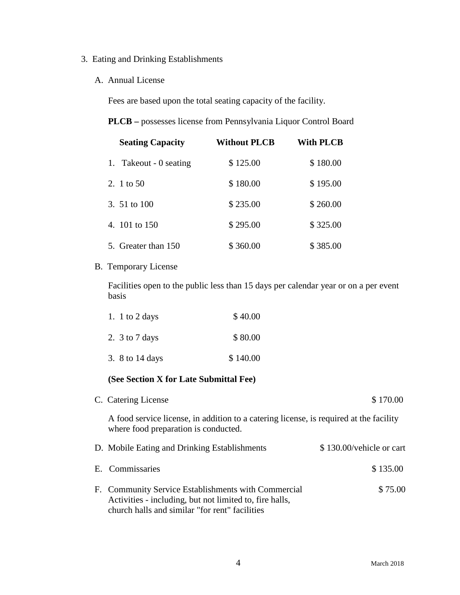# 3. Eating and Drinking Establishments

#### A. Annual License

Fees are based upon the total seating capacity of the facility.

|  |  |  | PLCB - possesses license from Pennsylvania Liquor Control Board |
|--|--|--|-----------------------------------------------------------------|
|--|--|--|-----------------------------------------------------------------|

| <b>Seating Capacity</b> | <b>Without PLCB</b> | With PLCB |  |
|-------------------------|---------------------|-----------|--|
| 1. Takeout - 0 seating  | \$125.00            | \$180.00  |  |
| 2. 1 to 50              | \$180.00            | \$195.00  |  |
| 3. 51 to 100            | \$235.00            | \$260.00  |  |
| 4. 101 to 150           | \$295.00            | \$325.00  |  |
| 5. Greater than 150     | \$360.00            | \$385.00  |  |

### B. Temporary License

Facilities open to the public less than 15 days per calendar year or on a per event basis

| 1. 1 to 2 days     | \$40.00  |
|--------------------|----------|
| 2. $3$ to $7$ days | \$80.00  |
| 3. 8 to 14 days    | \$140.00 |

#### **(See Section X for Late Submittal Fee)**

| C. Catering License                                                                                                                                              | \$170.00                 |
|------------------------------------------------------------------------------------------------------------------------------------------------------------------|--------------------------|
| A food service license, in addition to a catering license, is required at the facility<br>where food preparation is conducted.                                   |                          |
| D. Mobile Eating and Drinking Establishments                                                                                                                     | \$130.00/vehicle or cart |
| E. Commissaries                                                                                                                                                  | \$135.00                 |
| F. Community Service Establishments with Commercial<br>Activities - including, but not limited to, fire halls,<br>church halls and similar "for rent" facilities | \$75.00                  |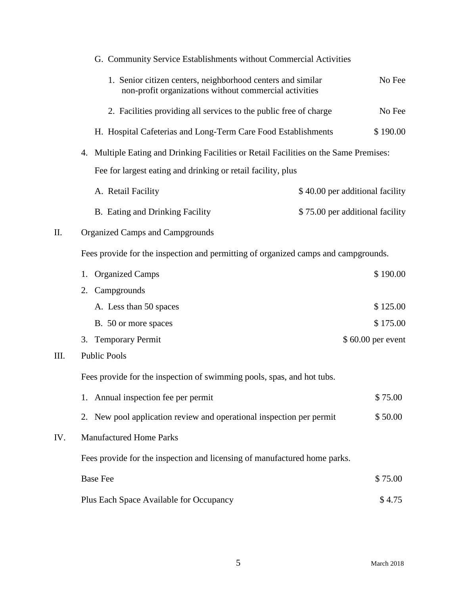|     | G. Community Service Establishments without Commercial Activities                                                     |                                 |  |  |  |
|-----|-----------------------------------------------------------------------------------------------------------------------|---------------------------------|--|--|--|
|     | 1. Senior citizen centers, neighborhood centers and similar<br>non-profit organizations without commercial activities | No Fee                          |  |  |  |
|     | 2. Facilities providing all services to the public free of charge                                                     | No Fee                          |  |  |  |
|     | H. Hospital Cafeterias and Long-Term Care Food Establishments                                                         | \$190.00                        |  |  |  |
|     | Multiple Eating and Drinking Facilities or Retail Facilities on the Same Premises:<br>4.                              |                                 |  |  |  |
|     | Fee for largest eating and drinking or retail facility, plus                                                          |                                 |  |  |  |
|     | A. Retail Facility                                                                                                    | \$40.00 per additional facility |  |  |  |
|     | B. Eating and Drinking Facility                                                                                       | \$75.00 per additional facility |  |  |  |
| Π.  | <b>Organized Camps and Campgrounds</b>                                                                                |                                 |  |  |  |
|     | Fees provide for the inspection and permitting of organized camps and campgrounds.                                    |                                 |  |  |  |
|     | <b>Organized Camps</b><br>1.                                                                                          | \$190.00                        |  |  |  |
|     | Campgrounds<br>2.                                                                                                     |                                 |  |  |  |
|     | A. Less than 50 spaces                                                                                                | \$125.00                        |  |  |  |
|     | B. 50 or more spaces                                                                                                  | \$175.00                        |  |  |  |
|     | <b>Temporary Permit</b><br>3.                                                                                         | \$60.00 per event               |  |  |  |
| Ш.  | <b>Public Pools</b>                                                                                                   |                                 |  |  |  |
|     | Fees provide for the inspection of swimming pools, spas, and hot tubs.                                                |                                 |  |  |  |
|     | Annual inspection fee per permit<br>1.                                                                                | \$75.00                         |  |  |  |
|     | 2. New pool application review and operational inspection per permit                                                  | \$50.00                         |  |  |  |
| IV. | <b>Manufactured Home Parks</b>                                                                                        |                                 |  |  |  |
|     | Fees provide for the inspection and licensing of manufactured home parks.                                             |                                 |  |  |  |
|     | <b>Base Fee</b>                                                                                                       | \$75.00                         |  |  |  |
|     | Plus Each Space Available for Occupancy                                                                               | \$4.75                          |  |  |  |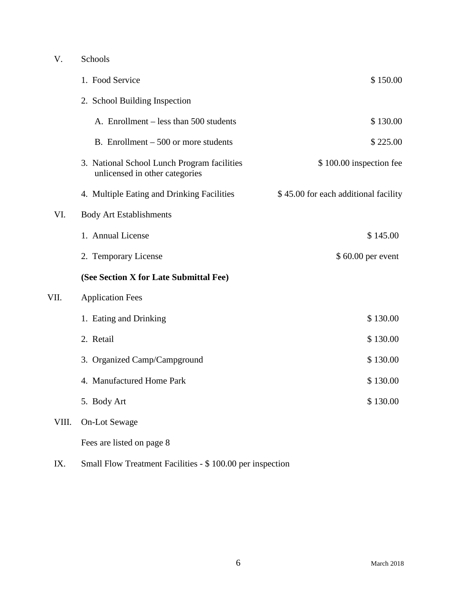# V. Schools 1. Food Service \$ 150.00 2. School Building Inspection A. Enrollment – less than 500 students \$ 130.00 B. Enrollment – 500 or more students  $$ 225.00$ 3. National School Lunch Program facilities  $$ 100.00$  inspection fee unlicensed in other categories 4. Multiple Eating and Drinking Facilities  $$ 45.00$  for each additional facility VI. Body Art Establishments 1. Annual License  $$ 145.00$ 2. Temporary License  $$60.00$  per event **(See Section X for Late Submittal Fee)** VII. Application Fees 1. Eating and Drinking \$ 130.00 2. Retail \$ 130.00 3. Organized Camp/Campground \$ 130.00 4. Manufactured Home Park  $$ 130.00$ 5. Body Art \$ 130.00 VIII. On-Lot Sewage Fees are listed on page 8

IX. Small Flow Treatment Facilities - \$ 100.00 per inspection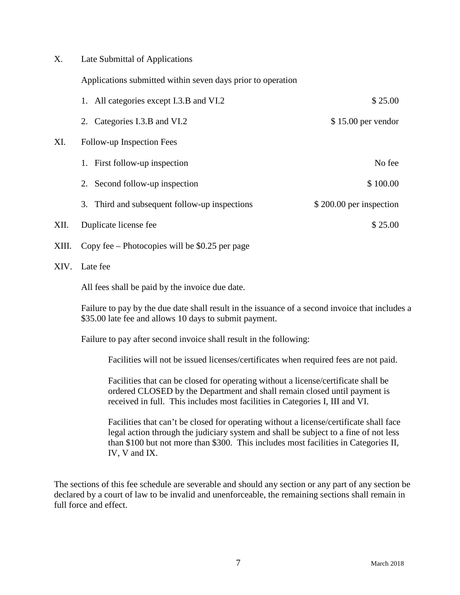X. Late Submittal of Applications

Applications submitted within seven days prior to operation

|       | 1. All categories except I.3.B and VI.2         | \$25.00                 |
|-------|-------------------------------------------------|-------------------------|
|       | 2. Categories I.3.B and VI.2                    | $$15.00$ per vendor     |
| XI.   | Follow-up Inspection Fees                       |                         |
|       | First follow-up inspection<br>1.                | No fee                  |
|       | Second follow-up inspection<br>2.               | \$100.00                |
|       | 3. Third and subsequent follow-up inspections   | \$200.00 per inspection |
| XII.  | Duplicate license fee                           | \$25.00                 |
| XIII. | Copy fee – Photocopies will be $$0.25$ per page |                         |

XIV. Late fee

All fees shall be paid by the invoice due date.

Failure to pay by the due date shall result in the issuance of a second invoice that includes a \$35.00 late fee and allows 10 days to submit payment.

Failure to pay after second invoice shall result in the following:

Facilities will not be issued licenses/certificates when required fees are not paid.

Facilities that can be closed for operating without a license/certificate shall be ordered CLOSED by the Department and shall remain closed until payment is received in full. This includes most facilities in Categories I, III and VI.

Facilities that can't be closed for operating without a license/certificate shall face legal action through the judiciary system and shall be subject to a fine of not less than \$100 but not more than \$300. This includes most facilities in Categories II, IV, V and IX.

The sections of this fee schedule are severable and should any section or any part of any section be declared by a court of law to be invalid and unenforceable, the remaining sections shall remain in full force and effect.